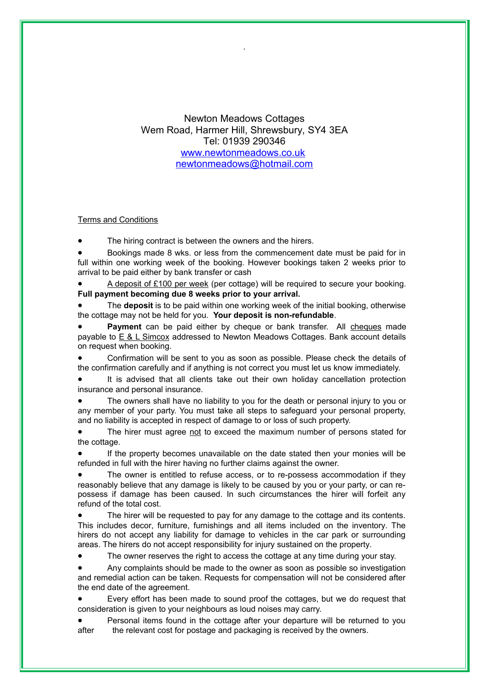Newton Meadows Cottages Wem Road, Harmer Hill, Shrewsbury, SY4 3EA Tel: 01939 290346 [www.newtonmeadows.co.uk](http://www.newtonmeadows.co.uk/) [newtonmeadows@hotmail.com](mailto:newtonmeadows@hotmail.com)

## Terms and Conditions

The hiring contract is between the owners and the hirers.

 Bookings made 8 wks. or less from the commencement date must be paid for in full within one working week of the booking. However bookings taken 2 weeks prior to arrival to be paid either by bank transfer or cash

 A deposit of £100 per week (per cottage) will be required to secure your booking. **Full payment becoming due 8 weeks prior to your arrival.**

 The **deposit** is to be paid within one working week of the initial booking, otherwise the cottage may not be held for you. **Your deposit is non-refundable**.

Payment can be paid either by cheque or bank transfer. All cheques made payable to  $E \& L$  Simcox addressed to Newton Meadows Cottages. Bank account details on request when booking.

 Confirmation will be sent to you as soon as possible. Please check the details of the confirmation carefully and if anything is not correct you must let us know immediately.

 It is advised that all clients take out their own holiday cancellation protection insurance and personal insurance.

 The owners shall have no liability to you for the death or personal injury to you or any member of your party. You must take all steps to safeguard your personal property, and no liability is accepted in respect of damage to or loss of such property.

The hirer must agree not to exceed the maximum number of persons stated for the cottage.

 If the property becomes unavailable on the date stated then your monies will be refunded in full with the hirer having no further claims against the owner.

 The owner is entitled to refuse access, or to re-possess accommodation if they reasonably believe that any damage is likely to be caused by you or your party, or can repossess if damage has been caused. In such circumstances the hirer will forfeit any refund of the total cost.

 The hirer will be requested to pay for any damage to the cottage and its contents. This includes decor, furniture, furnishings and all items included on the inventory. The hirers do not accept any liability for damage to vehicles in the car park or surrounding areas. The hirers do not accept responsibility for injury sustained on the property.

The owner reserves the right to access the cottage at any time during your stay.

 Any complaints should be made to the owner as soon as possible so investigation and remedial action can be taken. Requests for compensation will not be considered after the end date of the agreement.

 Every effort has been made to sound proof the cottages, but we do request that consideration is given to your neighbours as loud noises may carry.

 Personal items found in the cottage after your departure will be returned to you after the relevant cost for postage and packaging is received by the owners.